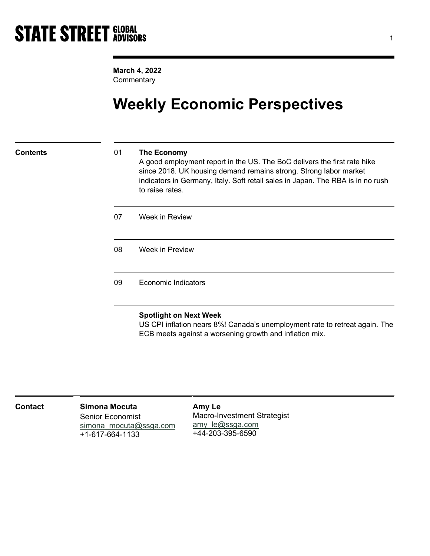March 4, 2022 **Commentary** 

## Weekly Economic Perspectives

### Contents 01 The Economy

A good employment report in the US. The BoC delivers the first rate hike since 2018. UK housing demand remains strong. Strong labor market indicators in Germany, Italy. Soft retail sales in Japan. The RBA is in no rush to raise rates.

07 Week in Review

08 Week in Preview

09 Economic Indicators

### Spotlight on Next Week

US CPI inflation nears 8%! Canada's unemployment rate to retreat again. The ECB meets against a worsening growth and inflation mix.

| <b>Contact</b> | Simona Mocuta<br><b>Senior Economist</b><br>simona mocuta@ssga.com<br>+1-617-664-1133 | Amy Le<br><b>Macro-Investment Strategist</b><br>amy le@ssga.com<br>+44-203-395-6590 |  |
|----------------|---------------------------------------------------------------------------------------|-------------------------------------------------------------------------------------|--|
|----------------|---------------------------------------------------------------------------------------|-------------------------------------------------------------------------------------|--|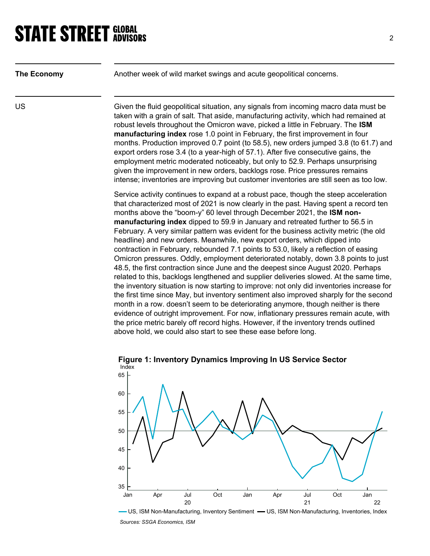| <b>The Economy</b> | Another week of wild market swings and acute geopolitical concerns.                                                                                                                                                                                                                                                                                                                                                                                                                                                                                                                                                                                                                                                                                                                                                                                                                                                                                                                                                                                                 |
|--------------------|---------------------------------------------------------------------------------------------------------------------------------------------------------------------------------------------------------------------------------------------------------------------------------------------------------------------------------------------------------------------------------------------------------------------------------------------------------------------------------------------------------------------------------------------------------------------------------------------------------------------------------------------------------------------------------------------------------------------------------------------------------------------------------------------------------------------------------------------------------------------------------------------------------------------------------------------------------------------------------------------------------------------------------------------------------------------|
| <b>US</b>          | Given the fluid geopolitical situation, any signals from incoming macro data must be<br>taken with a grain of salt. That aside, manufacturing activity, which had remained at<br>robust levels throughout the Omicron wave, picked a little in February. The ISM<br>manufacturing index rose 1.0 point in February, the first improvement in four<br>months. Production improved 0.7 point (to 58.5), new orders jumped 3.8 (to 61.7) and<br>export orders rose 3.4 (to a year-high of 57.1). After five consecutive gains, the<br>employment metric moderated noticeably, but only to 52.9. Perhaps unsurprising<br>given the improvement in new orders, backlogs rose. Price pressures remains<br>intense; inventories are improving but customer inventories are still seen as too low.                                                                                                                                                                                                                                                                          |
|                    | Service activity continues to expand at a robust pace, though the steep acceleration<br>that characterized most of 2021 is now clearly in the past. Having spent a record ten<br>months above the "boom-y" 60 level through December 2021, the ISM non-<br>manufacturing index dipped to 59.9 in January and retreated further to 56.5 in<br>February. A very similar pattern was evident for the business activity metric (the old<br>headline) and new orders. Meanwhile, new export orders, which dipped into<br>contraction in February, rebounded 7.1 points to 53.0, likely a reflection of easing<br>Omicron pressures. Oddly, employment deteriorated notably, down 3.8 points to just<br>48.5, the first contraction since June and the deepest since August 2020. Perhaps<br>related to this, backlogs lengthened and supplier deliveries slowed. At the same time,<br>the inventory situation is now starting to improve: not only did inventories increase for<br>the first time since May but inventory sentiment also improved sharply for the second |

the first time since May, but inventory sentiment also improved sharply for the second month in a row. doesn't seem to be deteriorating anymore, though neither is there evidence of outright improvement. For now, inflationary pressures remain acute, with the price metric barely off record highs. However, if the inventory trends outlined above hold, we could also start to see these ease before long.



Figure 1: Inventory Dynamics Improving In US Service Sector

- US, ISM Non-Manufacturing, Inventory Sentiment - US, ISM Non-Manufacturing, Inventories, Index Sources: SSGA Economics, ISM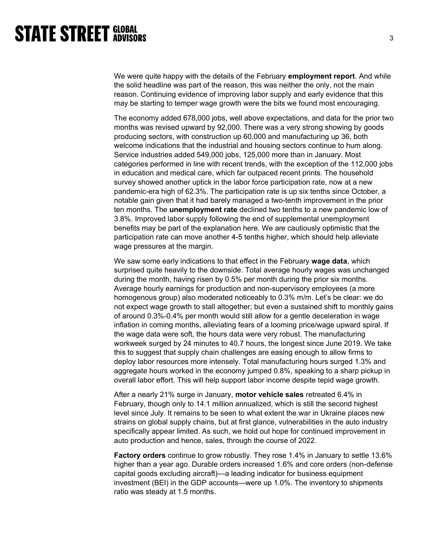We were quite happy with the details of the February **employment report**. And while the solid headline was part of the reason, this was neither the only, not the main reason. Continuing evidence of improving labor supply and early evidence that this may be starting to temper wage growth were the bits we found most encouraging.

The economy added 678,000 jobs, well above expectations, and data for the prior two months was revised upward by 92,000. There was a very strong showing by goods producing sectors, with construction up 60,000 and manufacturing up 36, both welcome indications that the industrial and housing sectors continue to hum along. Service industries added 549,000 jobs, 125,000 more than in January. Most categories performed in line with recent trends, with the exception of the 112,000 jobs in education and medical care, which far outpaced recent prints. The household survey showed another uptick in the labor force participation rate, now at a new pandemic-era high of 62.3%. The participation rate is up six tenths since October, a notable gain given that it had barely managed a two-tenth improvement in the prior ten months. The unemployment rate declined two tenths to a new pandemic low of 3.8%. Improved labor supply following the end of supplemental unemployment benefits may be part of the explanation here. We are cautiously optimistic that the participation rate can move another 4-5 tenths higher, which should help alleviate wage pressures at the margin.

We saw some early indications to that effect in the February wage data, which surprised quite heavily to the downside. Total average hourly wages was unchanged during the month, having risen by 0.5% per month during the prior six months. Average hourly earnings for production and non-supervisory employees (a more homogenous group) also moderated noticeably to 0.3% m/m. Let's be clear: we do not expect wage growth to stall altogether; but even a sustained shift to monthly gains of around 0.3%-0.4% per month would still allow for a gentle deceleration in wage inflation in coming months, alleviating fears of a looming price/wage upward spiral. If the wage data were soft, the hours data were very robust. The manufacturing workweek surged by 24 minutes to 40.7 hours, the longest since June 2019. We take this to suggest that supply chain challenges are easing enough to allow firms to deploy labor resources more intensely. Total manufacturing hours surged 1.3% and aggregate hours worked in the economy jumped 0.8%, speaking to a sharp pickup in overall labor effort. This will help support labor income despite tepid wage growth.

After a nearly 21% surge in January, motor vehicle sales retreated 6.4% in February, though only to 14.1 million annualized, which is still the second highest level since July. It remains to be seen to what extent the war in Ukraine places new strains on global supply chains, but at first glance, vulnerabilities in the auto industry specifically appear limited. As such, we hold out hope for continued improvement in auto production and hence, sales, through the course of 2022.

Factory orders continue to grow robustly. They rose 1.4% in January to settle 13.6% higher than a year ago. Durable orders increased 1.6% and core orders (non-defense capital goods excluding aircraft)—a leading indicator for business equipment investment (BEI) in the GDP accounts—were up 1.0%. The inventory to shipments ratio was steady at 1.5 months.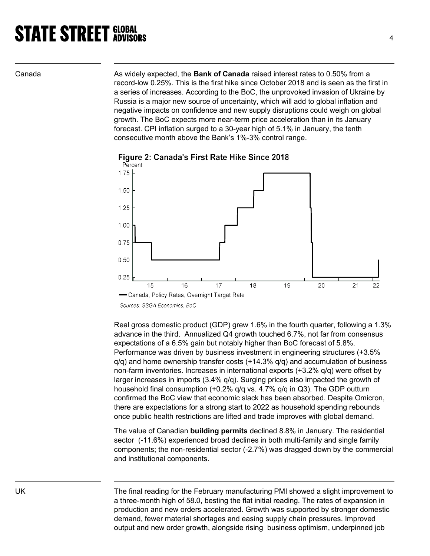Canada **As widely expected, the Bank of Canada** raised interest rates to 0.50% from a record-low 0.25%. This is the first hike since October 2018 and is seen as the first in a series of increases. According to the BoC, the unprovoked invasion of Ukraine by Russia is a major new source of uncertainty, which will add to global inflation and negative impacts on confidence and new supply disruptions could weigh on global growth. The BoC expects more near-term price acceleration than in its January forecast. CPI inflation surged to a 30-year high of 5.1% in January, the tenth consecutive month above the Bank's 1%-3% control range.



Figure 2: Canada's First Rate Hike Since 2018

Real gross domestic product (GDP) grew 1.6% in the fourth quarter, following a 1.3% advance in the third. Annualized Q4 growth touched 6.7%, not far from consensus expectations of a 6.5% gain but notably higher than BoC forecast of 5.8%. Performance was driven by business investment in engineering structures (+3.5%  $q/q$ ) and home ownership transfer costs  $(+14.3\% q/q)$  and accumulation of business non-farm inventories. Increases in international exports (+3.2% q/q) were offset by larger increases in imports (3.4% q/q). Surging prices also impacted the growth of household final consumption (+0.2% q/q vs. 4.7% q/q in Q3). The GDP outturn confirmed the BoC view that economic slack has been absorbed. Despite Omicron, there are expectations for a strong start to 2022 as household spending rebounds once public health restrictions are lifted and trade improves with global demand.

The value of Canadian building permits declined 8.8% in January. The residential sector (-11.6%) experienced broad declines in both multi-family and single family components; the non-residential sector (-2.7%) was dragged down by the commercial and institutional components.

UK The final reading for the February manufacturing PMI showed a slight improvement to a three-month high of 58.0, besting the flat initial reading. The rates of expansion in production and new orders accelerated. Growth was supported by stronger domestic demand, fewer material shortages and easing supply chain pressures. Improved output and new order growth, alongside rising business optimism, underpinned job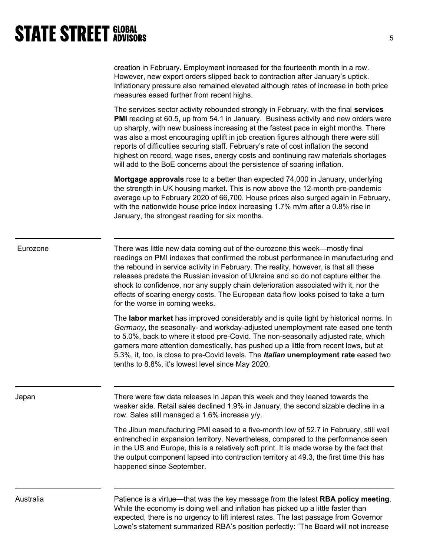| creation in February. Employment increased for the fourteenth month in a row.         |
|---------------------------------------------------------------------------------------|
| However, new export orders slipped back to contraction after January's uptick.        |
| Inflationary pressure also remained elevated although rates of increase in both price |
| measures eased further from recent highs.                                             |

The services sector activity rebounded strongly in February, with the final services PMI reading at 60.5, up from 54.1 in January. Business activity and new orders were up sharply, with new business increasing at the fastest pace in eight months. There was also a most encouraging uplift in job creation figures although there were still reports of difficulties securing staff. February's rate of cost inflation the second highest on record, wage rises, energy costs and continuing raw materials shortages will add to the BoE concerns about the persistence of soaring inflation.

**Mortgage approvals** rose to a better than expected 74,000 in January, underlying the strength in UK housing market. This is now above the 12-month pre-pandemic average up to February 2020 of 66,700. House prices also surged again in February, with the nationwide house price index increasing 1.7% m/m after a 0.8% rise in January, the strongest reading for six months.

| There was little new data coming out of the eurozone this week—mostly final<br>Eurozone<br>readings on PMI indexes that confirmed the robust performance in manufacturing and<br>the rebound in service activity in February. The reality, however, is that all these<br>releases predate the Russian invasion of Ukraine and so do not capture either the<br>shock to confidence, nor any supply chain deterioration associated with it, nor the<br>effects of soaring energy costs. The European data flow looks poised to take a turn<br>for the worse in coming weeks. |  |
|----------------------------------------------------------------------------------------------------------------------------------------------------------------------------------------------------------------------------------------------------------------------------------------------------------------------------------------------------------------------------------------------------------------------------------------------------------------------------------------------------------------------------------------------------------------------------|--|
|----------------------------------------------------------------------------------------------------------------------------------------------------------------------------------------------------------------------------------------------------------------------------------------------------------------------------------------------------------------------------------------------------------------------------------------------------------------------------------------------------------------------------------------------------------------------------|--|

The **labor market** has improved considerably and is quite tight by historical norms. In Germany, the seasonally- and workday-adjusted unemployment rate eased one tenth to 5.0%, back to where it stood pre-Covid. The non-seasonally adjusted rate, which garners more attention domestically, has pushed up a little from recent lows, but at 5.3%, it, too, is close to pre-Covid levels. The Italian unemployment rate eased two tenths to 8.8%, it's lowest level since May 2020.

Japan There were few data releases in Japan this week and they leaned towards the weaker side. Retail sales declined 1.9% in January, the second sizable decline in a row. Sales still managed a 1.6% increase y/y.

> The Jibun manufacturing PMI eased to a five-month low of 52.7 in February, still well entrenched in expansion territory. Nevertheless, compared to the performance seen in the US and Europe, this is a relatively soft print. It is made worse by the fact that the output component lapsed into contraction territory at 49.3, the first time this has happened since September.

Australia **Patience is a virtue—that was the key message from the latest RBA policy meeting.** While the economy is doing well and inflation has picked up a little faster than expected, there is no urgency to lift interest rates. The last passage from Governor Lowe's statement summarized RBA's position perfectly: "The Board will not increase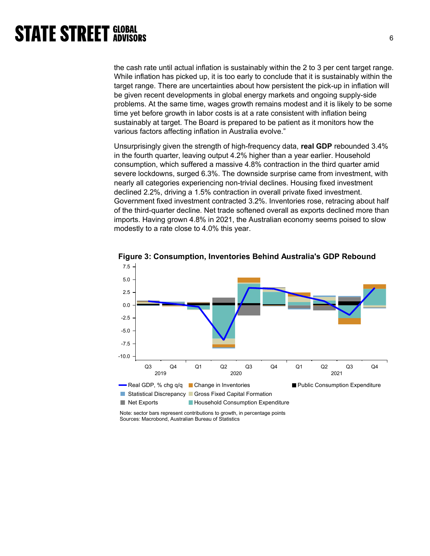the cash rate until actual inflation is sustainably within the 2 to 3 per cent target range. While inflation has picked up, it is too early to conclude that it is sustainably within the target range. There are uncertainties about how persistent the pick-up in inflation will be given recent developments in global energy markets and ongoing supply-side problems. At the same time, wages growth remains modest and it is likely to be some time yet before growth in labor costs is at a rate consistent with inflation being sustainably at target. The Board is prepared to be patient as it monitors how the various factors affecting inflation in Australia evolve."

Unsurprisingly given the strength of high-frequency data, real GDP rebounded 3.4% in the fourth quarter, leaving output 4.2% higher than a year earlier. Household consumption, which suffered a massive 4.8% contraction in the third quarter amid severe lockdowns, surged 6.3%. The downside surprise came from investment, with nearly all categories experiencing non-trivial declines. Housing fixed investment declined 2.2%, driving a 1.5% contraction in overall private fixed investment. Government fixed investment contracted 3.2%. Inventories rose, retracing about half of the third-quarter decline. Net trade softened overall as exports declined more than imports. Having grown 4.8% in 2021, the Australian economy seems poised to slow modestly to a rate close to 4.0% this year.



Figure 3: Consumption, Inventories Behind Australia's GDP Rebound

Note: sector bars represent contributions to growth, in percentage points Sources: Macrobond, Australian Bureau of Statistics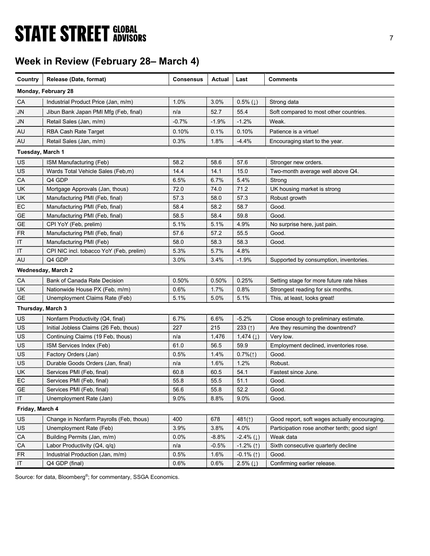# **STATE STREET GLOBAL STATE STREET GLOBAL**

## Week in Review (February 28– March 4)

| Country           | Release (Date, format)                  | <b>Consensus</b> | Actual  | Last                      | <b>Comments</b>                               |
|-------------------|-----------------------------------------|------------------|---------|---------------------------|-----------------------------------------------|
|                   | Monday, February 28                     |                  |         |                           |                                               |
| СA                | Industrial Product Price (Jan, m/m)     | 1.0%             | 3.0%    | $0.5\%$ ( $\downarrow$ )  | Strong data                                   |
| <b>JN</b>         | Jibun Bank Japan PMI Mfg (Feb, final)   | n/a              | 52.7    | 55.4                      | Soft compared to most other countries.        |
| <b>JN</b>         | Retail Sales (Jan, m/m)                 | $-0.7%$          | $-1.9%$ | $-1.2%$                   | Weak.                                         |
| AU                | RBA Cash Rate Target                    | 0.10%            | 0.1%    | 0.10%                     | Patience is a virtue!                         |
| AU                | Retail Sales (Jan, m/m)                 | 0.3%             | 1.8%    | $-4.4%$                   | Encouraging start to the year.                |
| Tuesday, March 1  |                                         |                  |         |                           |                                               |
| US                | ISM Manufacturing (Feb)                 | 58.2             | 58.6    | 57.6                      | Stronger new orders.                          |
| US                | Wards Total Vehicle Sales (Feb,m)       | 14.4             | 14.1    | 15.0                      | Two-month average well above Q4.              |
| CA                | Q4 GDP                                  | 6.5%             | 6.7%    | 5.4%                      | Strong                                        |
| <b>UK</b>         | Mortgage Approvals (Jan, thous)         | 72.0             | 74.0    | 71.2                      | UK housing market is strong                   |
| <b>UK</b>         | Manufacturing PMI (Feb, final)          | 57.3             | 58.0    | 57.3                      | Robust growth                                 |
| EC                | Manufacturing PMI (Feb, final)          | 58.4             | 58.2    | 58.7                      | Good.                                         |
| <b>GE</b>         | Manufacturing PMI (Feb, final)          | 58.5             | 58.4    | 59.8                      | Good.                                         |
| GE                | CPI YoY (Feb. prelim)                   | 5.1%             | 5.1%    | 4.9%                      | No surprise here, just pain.                  |
| <b>FR</b>         | Manufacturing PMI (Feb, final)          | 57.6             | 57.2    | 55.5                      | Good.                                         |
| IT                | Manufacturing PMI (Feb)                 | 58.0             | 58.3    | 58.3                      | Good.                                         |
| IT                | CPI NIC incl. tobacco YoY (Feb, prelim) | 5.3%             | 5.7%    | 4.8%                      |                                               |
| AU                | Q4 GDP                                  | 3.0%             | 3.4%    | $-1.9%$                   | Supported by consumption, inventories.        |
|                   | Wednesday, March 2                      |                  |         |                           |                                               |
| CA                | Bank of Canada Rate Decision            | 0.50%            | 0.50%   | 0.25%                     | Setting stage for more future rate hikes      |
| UK                | Nationwide House PX (Feb, m/m)          | $0.6\%$          | 1.7%    | 0.8%                      | Strongest reading for six months.             |
| GE                | Unemployment Claims Rate (Feb)          | 5.1%             | 5.0%    | 5.1%                      | This, at least, looks great!                  |
| Thursday, March 3 |                                         |                  |         |                           |                                               |
| US                | Nonfarm Productivity (Q4, final)        | 6.7%             | 6.6%    | $-5.2%$                   | Close enough to preliminary estimate.         |
| US                | Initial Jobless Claims (26 Feb, thous)  | 227              | 215     | 233 $(1)$                 | Are they resuming the downtrend?              |
| US                | Continuing Claims (19 Feb, thous)       | n/a              | 1,476   | 1,474 $(1)$               | Very low.                                     |
| US                | ISM Services Index (Feb)                | 61.0             | 56.5    | 59.9                      | Employment declined, inventories rose.        |
| <b>US</b>         | Factory Orders (Jan)                    | 0.5%             | 1.4%    | $0.7\%(\uparrow)$         | Good.                                         |
| US                | Durable Goods Orders (Jan, final)       | n/a              | 1.6%    | 1.2%                      | Robust.                                       |
| <b>UK</b>         | Services PMI (Feb, final)               | 60.8             | 60.5    | 54.1                      | Fastest since June.                           |
| EC                | Services PMI (Feb, final)               | 55.8             | 55.5    | 51.1                      | Good.                                         |
| <b>GE</b>         | Services PMI (Feb, final)               | 56.6             | 55.8    | 52.2                      | Good.                                         |
| IT                | Unemployment Rate (Jan)                 | 9.0%             | 8.8%    | 9.0%                      | Good.                                         |
| Friday, March 4   |                                         |                  |         |                           |                                               |
| US                | Change in Nonfarm Payrolls (Feb, thous) | 400              | 678     | 481(1)                    | Good report, soft wages actually encouraging. |
| US                | Unemployment Rate (Feb)                 | 3.9%             | 3.8%    | 4.0%                      | Participation rose another tenth; good sign!  |
| CA                | Building Permits (Jan, m/m)             | $0.0\%$          | -8.8%   | $-2.4\%$ ( $\downarrow$ ) | Weak data                                     |
| ${\sf CA}$        | Labor Productivity (Q4, q/q)            | n/a              | $-0.5%$ | $-1.2\%$ (1)              | Sixth consecutive quarterly decline           |
| <b>FR</b>         | Industrial Production (Jan, m/m)        | 0.5%             | 1.6%    | $-0.1\%$ (1)              | Good.                                         |
| $\sf IT$          | Q4 GDP (final)                          | 0.6%             | 0.6%    | 2.5% $(1)$                | Confirming earlier release.                   |

Source: for data, Bloomberg<sup>®</sup>; for commentary, SSGA Economics.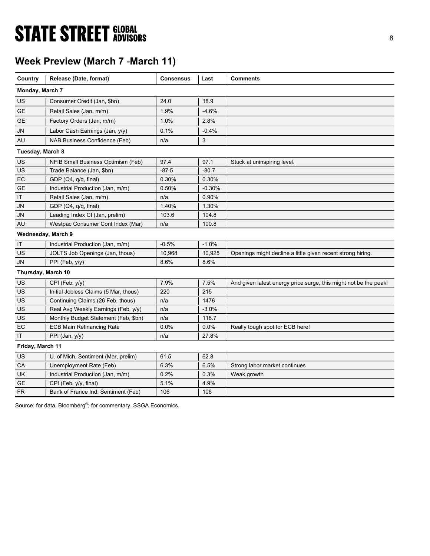# **STATE STREET GLOBAL STATE STREET GLOBAL**

## Week Preview (March 7 -March 11)

| Country            | Release (Date, format)                | <b>Consensus</b> | Last     | <b>Comments</b>                                                  |
|--------------------|---------------------------------------|------------------|----------|------------------------------------------------------------------|
| Monday, March 7    |                                       |                  |          |                                                                  |
| US                 | Consumer Credit (Jan, \$bn)           | 24.0             | 18.9     |                                                                  |
| <b>GE</b>          | Retail Sales (Jan, m/m)               | 1.9%             | $-4.6%$  |                                                                  |
| <b>GE</b>          | Factory Orders (Jan, m/m)             | 1.0%             | 2.8%     |                                                                  |
| <b>JN</b>          | Labor Cash Earnings (Jan, y/y)        | 0.1%             | $-0.4%$  |                                                                  |
| AU                 | NAB Business Confidence (Feb)         | n/a              | 3        |                                                                  |
| Tuesday, March 8   |                                       |                  |          |                                                                  |
| US                 | NFIB Small Business Optimism (Feb)    | 97.4             | 97.1     | Stuck at uninspiring level.                                      |
| US                 | Trade Balance (Jan, \$bn)             | $-87.5$          | $-80.7$  |                                                                  |
| EC                 | GDP (Q4, q/q, final)                  | 0.30%            | 0.30%    |                                                                  |
| <b>GE</b>          | Industrial Production (Jan, m/m)      | 0.50%            | $-0.30%$ |                                                                  |
| IT                 | Retail Sales (Jan, m/m)               | n/a              | 0.90%    |                                                                  |
| JN                 | GDP (Q4, q/q, final)                  | 1.40%            | 1.30%    |                                                                  |
| JN                 | Leading Index CI (Jan, prelim)        | 103.6            | 104.8    |                                                                  |
| AU                 | Westpac Consumer Conf Index (Mar)     | n/a              | 100.8    |                                                                  |
| Wednesday, March 9 |                                       |                  |          |                                                                  |
| IT                 | Industrial Production (Jan, m/m)      | $-0.5%$          | $-1.0%$  |                                                                  |
| US                 | JOLTS Job Openings (Jan, thous)       | 10,968           | 10,925   | Openings might decline a little given recent strong hiring.      |
| <b>JN</b>          | PPI (Feb, y/y)                        | 8.6%             | 8.6%     |                                                                  |
| Thursday, March 10 |                                       |                  |          |                                                                  |
| US                 | CPI (Feb, y/y)                        | 7.9%             | 7.5%     | And given latest energy price surge, this might not be the peak! |
| US                 | Initial Jobless Claims (5 Mar, thous) | 220              | 215      |                                                                  |
| US                 | Continuing Claims (26 Feb, thous)     | n/a              | 1476     |                                                                  |
| US                 | Real Avg Weekly Earnings (Feb, y/y)   | n/a              | $-3.0%$  |                                                                  |
| US                 | Monthly Budget Statement (Feb, \$bn)  | n/a              | 118.7    |                                                                  |
| EC                 | <b>ECB Main Refinancing Rate</b>      | 0.0%             | 0.0%     | Really tough spot for ECB here!                                  |
| IT                 | PPI (Jan, y/y)                        | n/a              | 27.8%    |                                                                  |
| Friday, March 11   |                                       |                  |          |                                                                  |
| US                 | U. of Mich. Sentiment (Mar, prelim)   | 61.5             | 62.8     |                                                                  |
| СA                 | Unemployment Rate (Feb)               | 6.3%             | 6.5%     | Strong labor market continues                                    |
| UK                 | Industrial Production (Jan, m/m)      | 0.2%             | 0.3%     | Weak growth                                                      |
| <b>GE</b>          | CPI (Feb, y/y, final)                 | 5.1%             | 4.9%     |                                                                  |
| <b>FR</b>          | Bank of France Ind. Sentiment (Feb)   | 106              | 106      |                                                                  |

Source: for data, Bloomberg<sup>®</sup>; for commentary, SSGA Economics.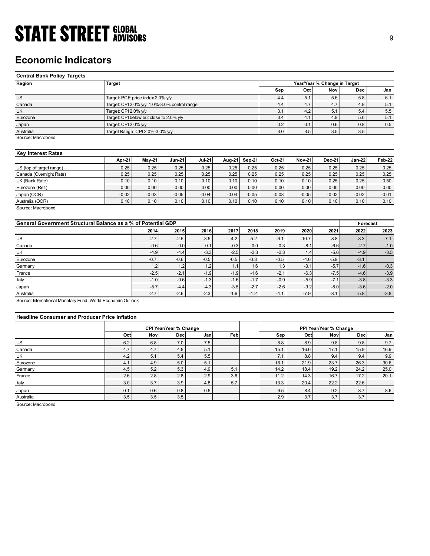### Economic Indicators

| <b>STATE STREET GLOBAL</b>                                    |                                 |                                               |                 |                 |                 |                 |                 |                 |                              |                 |                 |
|---------------------------------------------------------------|---------------------------------|-----------------------------------------------|-----------------|-----------------|-----------------|-----------------|-----------------|-----------------|------------------------------|-----------------|-----------------|
|                                                               |                                 |                                               |                 |                 |                 |                 |                 |                 |                              |                 | 9               |
|                                                               |                                 |                                               |                 |                 |                 |                 |                 |                 |                              |                 |                 |
|                                                               |                                 |                                               |                 |                 |                 |                 |                 |                 |                              |                 |                 |
| <b>Economic Indicators</b>                                    |                                 |                                               |                 |                 |                 |                 |                 |                 |                              |                 |                 |
|                                                               |                                 |                                               |                 |                 |                 |                 |                 |                 |                              |                 |                 |
| <b>Central Bank Policy Targets</b>                            |                                 |                                               |                 |                 |                 |                 |                 |                 |                              |                 |                 |
| Region                                                        | <b>Target</b>                   |                                               |                 |                 |                 |                 |                 |                 | Year/Year % Change in Target |                 |                 |
|                                                               |                                 |                                               |                 |                 |                 |                 | Sep             | Oct             | Nov                          | <b>Dec</b>      | Jan             |
| $\overline{US}$                                               |                                 | Target: PCE price index 2.0% y/y              |                 |                 |                 |                 | 4.4             | 5.1             | 5.6                          | 5.8             | 6.1             |
| Canada<br>UK                                                  | Target: CPI 2.0% y/y            | Target: CPI 2.0% y/y, 1.0%-3.0% control range |                 |                 |                 |                 | 4.4<br>3.1      | 4.7<br>4.2      | 4.7<br>5.1                   | 4.8<br>5.4      | 5.1<br>5.5      |
| Eurozone                                                      |                                 | Target: CPI below but close to 2.0% y/y       |                 |                 |                 |                 | 3.4             | 4.1             | 4.9                          | 5.0             | 5.1             |
| Japan                                                         | Target: CPI 2.0% y/y            |                                               |                 |                 |                 |                 | 0.2             | 0.1             | 0.6                          | 0.8             | 0.5             |
| Australia                                                     | Target Range: CPI 2.0%-3.0% y/y |                                               |                 |                 |                 |                 | 3.0             | 3.5             | $3.5\,$                      | 3.5             |                 |
| Source: Macrobond                                             |                                 |                                               |                 |                 |                 |                 |                 |                 |                              |                 |                 |
|                                                               |                                 |                                               |                 |                 |                 |                 |                 |                 |                              |                 |                 |
| <b>Key Interest Rates</b>                                     |                                 |                                               |                 |                 |                 |                 |                 |                 |                              |                 |                 |
|                                                               | Apr-21                          | $May-21$                                      | <b>Jun-21</b>   | <b>Jul-21</b>   | Aug-21          | Sep-21          | Oct-21          | <b>Nov-21</b>   | <b>Dec-21</b>                | <b>Jan-22</b>   | Feb-22          |
| US (top of target range)                                      | 0.25                            | 0.25                                          | 0.25            | 0.25            | 0.25            | 0.25            | 0.25            | 0.25            | 0.25                         | 0.25            | 0.25            |
| Canada (Overnight Rate)                                       | 0.25                            | 0.25                                          | 0.25            | 0.25            | 0.25            | 0.25            | 0.25            | 0.25            | 0.25                         | 0.25            | 0.25            |
| $\overline{UK}$ (Bank Rate)                                   | 0.10                            | 0.10                                          | 0.10            | 0.10            | 0.10            | 0.10            | 0.10            | 0.10            | 0.25                         | 0.25            | 0.50            |
| Eurozone (Refi)                                               | 0.00                            | 0.00                                          | 0.00            | 0.00            | 0.00            | 0.00            | 0.00            | 0.00            | 0.00                         | 0.00            | 0.00            |
| Japan (OCR)<br>Australia (OCR)                                | $-0.02$<br>0.10                 | $-0.03$<br>0.10                               | $-0.05$<br>0.10 | $-0.04$<br>0.10 | $-0.04$<br>0.10 | $-0.05$<br>0.10 | $-0.03$<br>0.10 | $-0.05$<br>0.10 | $-0.02$<br>0.10              | $-0.02$<br>0.10 | $-0.01$<br>0.10 |
| Source: Macrobond                                             |                                 |                                               |                 |                 |                 |                 |                 |                 |                              |                 |                 |
|                                                               |                                 |                                               |                 |                 |                 |                 |                 |                 |                              |                 |                 |
| General Government Structural Balance as a % of Potential GDP |                                 |                                               |                 |                 |                 |                 |                 |                 |                              | Forecast        |                 |
|                                                               |                                 | 2014                                          | 2015            | 2016            | 2017            | 2018            | 2019            | 2020            | 2021                         | 2022            | 2023            |
| US                                                            |                                 | $-2.7$                                        | $-2.5$          | $-3.5$          | $-4.2$          | $-5.2$          | $-6.1$          | $-10.7$         | $-8.8$                       | $-8.3$          | $-7.1$          |
| Canada                                                        |                                 | $-0.6$                                        | 0.0             | 0.1             | $-0.3$          | $0.0\,$         | 0.3             | $-8.1$          | $-6.6$                       | $-2.7$          | $-1.0$          |
| UK                                                            |                                 | $-4.9$                                        | $-4.4$          | $-3.3$          | $-2.5$          | $-2.3$          | $-2.3$          | 1.4             | $-5.6$                       | $-4.9$          | $-3.5$          |
|                                                               |                                 | $-0.7$                                        | $-0.6$          | $-0.5$          | $-0.5$          | $-0.3$          | $-0.5$          | $-4.6$          | $-5.9$                       | $-3.1$          |                 |
|                                                               |                                 | 1.2                                           | 1.2             | 1.2             | 1.1             | 1.6             | 1.3             | $-3.1$          | $-5.7$                       | $-1.6$          | $-0.3$          |
| Eurozone<br>Germany                                           |                                 |                                               | $-2.1$          | $-1.9$          | $-1.9$          | $-1.6$          | $-2.1$          | $-6.3$          | $-7.5$                       | $-4.6$          | $-3.9$          |

#### Key Interest Rates

|                          | Apr-21  | <b>Mav-21</b> | <b>Jun-21</b> | <b>Jul-21</b> | Aug-21  | <b>Sep-21</b> | Oct-21  | <b>Nov-21</b> | <b>Dec-21</b> | Jan-22  | Feb-22  |
|--------------------------|---------|---------------|---------------|---------------|---------|---------------|---------|---------------|---------------|---------|---------|
| US (top of target range) | 0.25    | 0.25          | 0.25          | 0.25          | 0.25    | 0.25          | 0.25    | 0.25          | 0.25          | 0.25    | 0.25    |
| Canada (Overnight Rate)  | 0.25    | 0.25          | 0.25          | 0.25          | 0.25    | 0.25          | 0.25    | 0.25          | 0.25          | 0.25    | 0.25    |
| UK (Bank Rate)           | 0.10    | 0.10          | 0.10          | 0.10          | 0.10    | 0.10          | 0.10    | 0.10          | 0.25          | 0.25    | 0.50    |
| Eurozone (Refi)          | 0.00    | 0.00          | 0.00          | 0.00          | 0.00    | 0.00          | 0.00    | 0.00          | 0.00          | 0.00    | 0.00    |
| Japan (OCR)              | $-0.02$ | $-0.03$       | $-0.05$       | $-0.04$       | $-0.04$ | $-0.05$       | $-0.03$ | $-0.05$       | $-0.02$       | $-0.02$ | $-0.01$ |
| Australia (OCR)          | 0.10    | 0.10          | 0.10          | 0.10          | 0.10    | 0.10          | 0.10    | 0.10          | 0.10          | 0.10    | 0.10    |
| Source: Macrobond        |         |               |               |               |         |               |         |               |               |         |         |

| <b>Economic Indicators</b>                                    |                      |                                               |                        |               |         |         |         |               |                              |                  |         |
|---------------------------------------------------------------|----------------------|-----------------------------------------------|------------------------|---------------|---------|---------|---------|---------------|------------------------------|------------------|---------|
| <b>Central Bank Policy Targets</b>                            |                      |                                               |                        |               |         |         |         |               |                              |                  |         |
| Region                                                        | <b>Target</b>        |                                               |                        |               |         |         |         |               | Year/Year % Change in Target |                  |         |
|                                                               |                      |                                               |                        |               |         |         | Sep     | Oct           | Nov                          | <b>Dec</b>       | Jan     |
| <b>US</b>                                                     |                      | Target: PCE price index 2.0% y/y              |                        |               |         |         | 4.4     | 5.1           | 5.6                          | 5.8              | 6.1     |
| Canada                                                        |                      | Target: CPI 2.0% y/y, 1.0%-3.0% control range |                        |               |         |         | 4.4     | 4.7           | 4.7                          | 4.8              | 5.1     |
| UK                                                            | Target: CPI 2.0% y/y |                                               |                        |               |         |         | 3.1     | 4.2           | 5.1                          | 5.4              | 5.5     |
| Eurozone                                                      |                      | Target: CPI below but close to 2.0% y/y       |                        |               |         |         | 3.4     | 4.1           | 4.9                          | 5.0              | 5.1     |
| Japan                                                         | Target: CPI 2.0% y/y |                                               |                        |               |         |         | 0.2     | 0.1           | 0.6                          | 0.8              | 0.5     |
| Australia                                                     |                      | Target Range: CPI 2.0%-3.0% y/y               |                        |               |         |         | 3.0     | 3.5           | 3.5                          | 3.5              |         |
| Source: Macrobond                                             |                      |                                               |                        |               |         |         |         |               |                              |                  |         |
| <b>Key Interest Rates</b>                                     |                      |                                               |                        |               |         |         |         |               |                              |                  |         |
|                                                               | Apr-21               | $May-21$                                      | <b>Jun-21</b>          | <b>Jul-21</b> | Aug-21  | Sep-21  | Oct-21  | <b>Nov-21</b> | <b>Dec-21</b>                | <b>Jan-22</b>    | Feb-22  |
| US (top of target range)                                      | 0.25                 | 0.25                                          | 0.25                   | 0.25          | 0.25    | 0.25    | 0.25    | 0.25          | 0.25                         | 0.25             | 0.25    |
| Canada (Overnight Rate)                                       | 0.25                 | 0.25                                          | 0.25                   | 0.25          | 0.25    | 0.25    | 0.25    | 0.25          | 0.25                         | 0.25             | 0.25    |
| UK (Bank Rate)                                                | 0.10                 | 0.10                                          | 0.10                   | 0.10          | 0.10    | 0.10    | 0.10    | 0.10          | 0.25                         | 0.25             | 0.50    |
| Eurozone (Refi)                                               | 0.00                 | 0.00                                          | 0.00                   | 0.00          | 0.00    | 0.00    | 0.00    | 0.00          | 0.00                         | 0.00             | 0.00    |
| Japan (OCR)                                                   | $-0.02$              | $-0.03$                                       | $-0.05$                | $-0.04$       | $-0.04$ | $-0.05$ | $-0.03$ | $-0.05$       | $-0.02$                      | $-0.02$          | $-0.01$ |
| Australia (OCR)<br>Source: Macrobond                          | 0.10                 | 0.10                                          | 0.10                   | 0.10          | 0.10    | 0.10    | 0.10    | 0.10          | 0.10                         | 0.10             | 0.10    |
| General Government Structural Balance as a % of Potential GDP |                      | 2014                                          | 2015                   | 2016          | 2017    | 2018    | 2019    | 2020          | 2021                         | Forecast<br>2022 | 2023    |
| <b>US</b>                                                     |                      | $-2.7$                                        | $-2.5$                 | $-3.5$        | $-4.2$  | $-5.2$  | $-6.1$  | $-10.7$       | $-8.8$                       | $-8.3$           | $-7.1$  |
| Canada                                                        |                      | $-0.6$                                        | 0.0                    | 0.1           | $-0.3$  | 0.0     | 0.3     | $-8.1$        | $-6.6$                       | $-2.7$           | $-1.0$  |
| <b>UK</b>                                                     |                      | $-4.9$                                        | $-4.4$                 | $-3.3$        | $-2.5$  | $-2.3$  | $-2.3$  | 1.4           | $-5.6$                       | $-4.9$           | $-3.5$  |
| Eurozone                                                      |                      | $-0.7$                                        | $-0.6$                 | $-0.5$        | $-0.5$  | $-0.3$  | $-0.5$  | $-4.6$        | $-5.9$                       | $-3.1$           |         |
| Germany                                                       |                      | 1.2                                           | 1.2                    | 1.2           | 1.1     | 1.6     | 1.3     | $-3.1$        | $-5.7$                       | $-1.6$           | $-0.3$  |
| France                                                        |                      | $-2.5$                                        | $-2.1$                 | $-1.9$        | $-1.9$  | $-1.6$  | $-2.1$  | $-6.3$        | $-7.5$                       | $-4.6$           | $-3.9$  |
| Italy                                                         |                      | $-1.0$                                        | $-0.6$                 | $-1.3$        | $-1.6$  | $-1.7$  | $-0.9$  | $-5.9$        | $-7.1$                       | $-3.8$           | $-3.3$  |
| Japan                                                         |                      | $-5.7$                                        | $-4.4$                 | $-4.3$        | $-3.5$  | $-2.7$  | $-2.6$  | $-9.2$        | $-8.0$                       | $-3.6$           | $-2.0$  |
| Australia                                                     |                      | $-2.7$                                        | $-2.6$                 | $-2.3$        | $-1.6$  | $-1.2$  | $-4.1$  | $-7.9$        | $-8.1$                       | $-5.8$           | $-3.8$  |
| Source: International Monetary Fund, World Economic Outlook   |                      |                                               |                        |               |         |         |         |               |                              |                  |         |
| <b>Headline Consumer and Producer Price Inflation</b>         |                      |                                               |                        |               |         |         |         |               |                              |                  |         |
|                                                               |                      |                                               | CPI Year/Year % Change |               |         |         |         |               | PPI Year/Year % Change       |                  |         |
|                                                               | Oct                  | Nov                                           | Dec                    | Jan           | Feb     |         | Sep     | Oct           | Nov                          | <b>Dec</b>       | Jan     |
| <b>US</b>                                                     | 6.2                  | 6.8                                           | $7.0$                  | $7.5\,$       |         |         | 8.8     | 8.9           | 9.8                          | 9.8              | 9.7     |
| Canada                                                        | 4.7                  | 4.7                                           | 4.8                    | 5.1           |         |         | 15.1    | 16.6          | 17.1                         | 15.9             | 16.9    |
| <b>UK</b>                                                     | 4.2                  | 5.1                                           | 5.4                    | 5.5           |         |         | 7.1     | 8.8           | 9.4                          | 9.4              | 9.9     |
| Eurozone                                                      | 4.1                  | 4.9                                           | 5.0                    | 5.1           |         |         | 16.1    | 21.9          | 23.7                         | 26.3             | 30.6    |
| Germany                                                       | 4.5                  | 5.2                                           | 5.3                    | 4.9           | 5.1     |         | 14.2    | 18.4          | 19.2                         | 24.2             | 25.0    |
| France                                                        | 2.6                  | 2.8                                           | 2.8                    | 2.9           | 3.6     |         | 11.2    | 14.3          | 16.7                         | 17.2             | 20.1    |
| Italy                                                         | 3.0                  | 3.7                                           | 3.9                    | 4.8           | 5.7     |         | 13.3    | 20.4          | 22.2                         | 22.6             |         |
| Japan                                                         | 0.1                  | 0.6                                           | 0.8                    | 0.5           |         |         | 6.5     | 8.4           | 9.2                          | 8.7              | 8.6     |
|                                                               |                      |                                               |                        |               |         |         |         |               |                              |                  |         |

### Headline Consumer and Producer Price Inflation

| UK (Bank Rate)                                                                             |         | 0.25    | 0.25                                        | 0.25    | 0.25    | 0.25    | 0.25    | 0.25    | 0.25                          | 0.25     | 0.25    |
|--------------------------------------------------------------------------------------------|---------|---------|---------------------------------------------|---------|---------|---------|---------|---------|-------------------------------|----------|---------|
|                                                                                            | 0.10    | 0.10    | 0.10                                        | 0.10    | 0.10    | 0.10    | 0.10    | 0.10    | 0.25                          | 0.25     | 0.50    |
| Eurozone (Refi)                                                                            | 0.00    | 0.00    | 0.00                                        | 0.00    | 0.00    | 0.00    | 0.00    | 0.00    | 0.00                          | 0.00     | 0.00    |
| Japan (OCR)                                                                                | $-0.02$ | $-0.03$ | $-0.05$                                     | $-0.04$ | $-0.04$ | $-0.05$ | $-0.03$ | $-0.05$ | $-0.02$                       | $-0.02$  | $-0.01$ |
| Australia (OCR)                                                                            | 0.10    | 0.10    | 0.10                                        | 0.10    | 0.10    | 0.10    | 0.10    | 0.10    | 0.10                          | 0.10     | 0.10    |
| Source: Macrobond<br>General Government Structural Balance as a % of Potential GDP         |         |         |                                             |         |         |         |         |         |                               | Forecast |         |
|                                                                                            |         | 2014    | 2015                                        | 2016    | 2017    | 2018    | 2019    | 2020    | 2021                          | 2022     | 2023    |
| US                                                                                         |         | $-2.7$  | $-2.5$                                      | $-3.5$  | $-4.2$  | $-5.2$  | $-6.1$  | $-10.7$ | $-8.8$                        | $-8.3$   | $-7.1$  |
| Canada                                                                                     |         | $-0.6$  | 0.0                                         | 0.1     | $-0.3$  | 0.0     | 0.3     | $-8.1$  | $-6.6$                        | $-2.7$   | $-1.0$  |
| UK                                                                                         |         | $-4.9$  | $-4.4$                                      | $-3.3$  | $-2.5$  | $-2.3$  | $-2.3$  | 1.4     | $-5.6$                        | $-4.9$   | $-3.5$  |
| Eurozone                                                                                   |         | $-0.7$  | $-0.6$                                      | $-0.5$  | $-0.5$  | $-0.3$  | $-0.5$  | $-4.6$  | $-5.9$                        | $-3.1$   |         |
| Germany                                                                                    |         | 1.2     | 1.2                                         | 1.2     | 1.1     | 1.6     | 1.3     | $-3.1$  | $-5.7$                        | $-1.6$   | $-0.3$  |
| France                                                                                     |         | $-2.5$  | $-2.1$                                      | $-1.9$  | $-1.9$  | $-1.6$  | $-2.1$  | $-6.3$  | $-7.5$                        | $-4.6$   | $-3.9$  |
|                                                                                            |         | $-1.0$  | $-0.6$                                      | $-1.3$  | $-1.6$  | $-1.7$  | $-0.9$  | $-5.9$  | $-7.1$                        | $-3.8$   | $-3.3$  |
| Italy                                                                                      |         |         | $-4.4$                                      | $-4.3$  | $-3.5$  | $-2.7$  | $-2.6$  | $-9.2$  | $-8.0$                        | $-3.6$   | $-2.0$  |
|                                                                                            |         | $-5.7$  |                                             |         |         |         |         |         |                               |          |         |
| Australia                                                                                  |         | $-2.7$  | $-2.6$                                      | $-2.3$  | $-1.6$  | $-1.2$  | $-4.1$  | $-7.9$  | $-8.1$                        | $-5.8$   | $-3.8$  |
| <b>Headline Consumer and Producer Price Inflation</b>                                      |         |         |                                             |         |         |         |         |         |                               |          |         |
|                                                                                            | Oct     | Nov     | <b>CPI Year/Year % Change</b><br><b>Dec</b> | Jan     | Feb     |         | Sep     | Oct     | PPI Year/Year % Change<br>Nov | Dec      | Jan     |
|                                                                                            | 6.2     | 6.8     | 7.0                                         | 7.5     |         |         | 8.8     | 8.9     | 9.8                           | 9.8      | 9.7     |
|                                                                                            | 4.7     | 4.7     | 4.8                                         | 5.1     |         |         | 15.1    | 16.6    | 17.1                          | 15.9     | 16.9    |
| Japan<br>Source: International Monetary Fund, World Economic Outlook<br>US<br>Canada<br>UK | 4.2     | 5.1     | 5.4                                         | 5.5     |         |         | 7.1     | 8.8     | 9.4                           | 9.4      | 9.9     |
| Eurozone                                                                                   | 4.1     | 4.9     | 5.0                                         | 5.1     |         |         | 16.1    | 21.9    | 23.7                          | 26.3     | 30.6    |
| Germany                                                                                    | 4.5     | 5.2     | 5.3                                         | 4.9     | 5.1     |         | 14.2    | 18.4    | 19.2                          | 24.2     | 25.0    |
| France                                                                                     | 2.6     | 2.8     | 2.8                                         | 2.9     | 3.6     |         | 11.2    | 14.3    | 16.7                          | 17.2     | 20.1    |
| Italy                                                                                      | 3.0     | 3.7     | 3.9                                         | 4.8     | 5.7     |         | 13.3    | 20.4    | 22.2                          | 22.6     |         |
| Japan                                                                                      | 0.1     | 0.6     | 0.8                                         | 0.5     |         |         | 6.5     | 8.4     | 9.2                           | 8.7      | 8.6     |
| Australia                                                                                  | 3.5     | 3.5     | 3.5                                         |         |         |         | 2.9     | 3.7     | 3.7                           | 3.7      |         |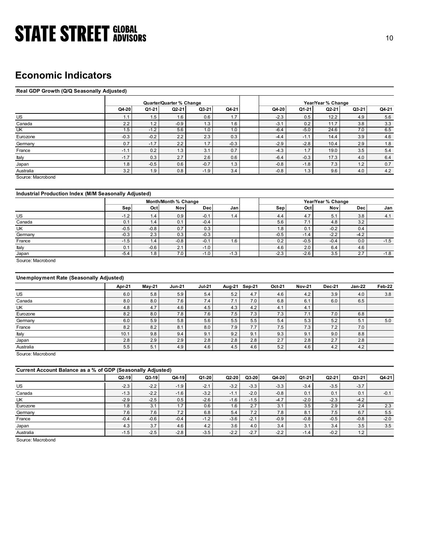### Economic Indicators

### Real GDP Growth (Q/Q Seasonally Adjusted)

| <b>STATE STREET GLOBAL</b>                            |                  |               |                          |                  |                          |                   |               |                    |            |         |
|-------------------------------------------------------|------------------|---------------|--------------------------|------------------|--------------------------|-------------------|---------------|--------------------|------------|---------|
|                                                       |                  |               |                          |                  |                          |                   |               |                    |            | 10      |
|                                                       |                  |               |                          |                  |                          |                   |               |                    |            |         |
|                                                       |                  |               |                          |                  |                          |                   |               |                    |            |         |
|                                                       |                  |               |                          |                  |                          |                   |               |                    |            |         |
|                                                       |                  |               |                          |                  |                          |                   |               |                    |            |         |
|                                                       |                  |               |                          |                  |                          |                   |               |                    |            |         |
| <b>Economic Indicators</b>                            |                  |               |                          |                  |                          |                   |               |                    |            |         |
|                                                       |                  |               |                          |                  |                          |                   |               |                    |            |         |
| Real GDP Growth (Q/Q Seasonally Adjusted)             |                  |               |                          |                  |                          |                   |               |                    |            |         |
|                                                       |                  |               |                          |                  |                          |                   |               |                    |            |         |
|                                                       |                  |               | Quarter/Quarter % Change |                  |                          |                   |               | Year/Year % Change |            |         |
|                                                       | Q4-20            | Q1-21         | $Q2-21$                  | $Q3-21$          | Q4-21                    | Q4-20             | Q1-21         | Q2-21              | Q3-21      | Q4-21   |
| US                                                    | 1.1              | 1.5           | 1.6                      | 0.6              | 1.7                      | $-2.3$            | 0.5           | 12.2               | 4.9        | 5.6     |
| Canada                                                | 2.2              | 1.2           | $-0.9$                   | 1.3              | 1.6                      | $-3.1$            | 0.2           | 11.7               | 3.8        | 3.3     |
| UK                                                    | $\overline{1.5}$ | $-1.2$        | 5.6                      | 1.0              | 1.0                      | $-6.4$            | $-5.0$        | 24.6               | 7.0        | 6.5     |
| Eurozone                                              | $-0.3$           | $-0.2$        | 2.2                      | 2.3              | 0.3                      | $-4.4$            | $-1.1$        | 14.4               | 3.9        | 4.6     |
| Germany                                               | 0.7              | $-1.7$        | 2.2                      | 1.7              | $-0.3$                   | $-2.9$            | $-2.8$        | 10.4               | 2.9        | $1.8$   |
| France                                                | $-1.1$           | 0.2           | 1.3                      | 3.1              | 0.7                      | $-4.3$            | 1.7           | 19.0               | 3.5        | 5.4     |
| ltaly                                                 | $-1.7$           | 0.3           | 2.7                      | 2.6              | 0.6                      | $-6.4$            | $-0.3$        | 17.3               | 4.0        | 6.4     |
| Japan                                                 | 1.8              | $-0.5$        | 0.6                      | $-0.7$           | 1.3                      | $-0.8$            | $-1.8$        | 7.3                | $1.2$      | $0.7\,$ |
| Australia                                             | 3.2              | 1.9           | $0.8\,$                  | $-1.9$           | 3.4                      | $-0.8$            | 1.3           | 9.6                | 4.0        | 4.2     |
| Source: Macrobond                                     |                  |               |                          |                  |                          |                   |               |                    |            |         |
|                                                       |                  |               |                          |                  |                          |                   |               |                    |            |         |
|                                                       |                  |               |                          |                  |                          |                   |               |                    |            |         |
| Industrial Production Index (M/M Seasonally Adjusted) |                  |               |                          |                  |                          |                   |               |                    |            |         |
|                                                       |                  |               | Month/Month % Change     |                  |                          |                   |               | Year/Year % Change |            |         |
|                                                       | Sep              | Oct           | <b>Nov</b>               | <b>Dec</b>       | Jan                      | <b>Sep</b>        | Oct           | <b>Nov</b>         | Dec        | Jan     |
| US                                                    | $-1.2$           | 1.4           | 0.9                      | $-0.1$           | 1.4                      | 4.4               | 4.7           | 5.1                | 3.8        | 4.1     |
| Canada                                                | 0.1              | 1.4           | 0.1                      | $-0.4$           |                          | 5.6               | 7.1           | 4.8                | 3.2        |         |
| UK                                                    | $-0.5$           | $-0.8$        | 0.7                      | 0.3              |                          | 1.8               | 0.1           | $-0.2$             | 0.4        |         |
| Germany                                               | $-0.3$           | 2.3           | 0.3                      | $-0.3$           |                          | $-0.5$            | $-1.4$        | $-2.2$             | $-4.2$     |         |
| France                                                | $-1.5$           | 1.4           | $-0.8$                   | $-0.1$           | 1.6                      | 0.2               | $-0.5$        | $-0.4$             | 0.0        | $-1.5$  |
| Italy                                                 | 0.1<br>$-5.4$    | $-0.6$<br>1.8 | 2.1<br>7.0               | $-1.0$<br>$-1.0$ | $-1.3$                   | $4.6\,$<br>$-2.3$ | 2.0<br>$-2.6$ | $6.4\,$<br>3.5     | 4.6<br>2.7 | $-1.8$  |
| Japan                                                 |                  |               |                          |                  |                          |                   |               |                    |            |         |
| Source: Macrobond                                     |                  |               |                          |                  |                          |                   |               |                    |            |         |
|                                                       |                  |               |                          |                  |                          |                   |               |                    |            |         |
| Unemployment Rate (Seasonally Adjusted)               |                  |               |                          |                  |                          |                   |               |                    |            |         |
|                                                       |                  |               | <b>Jun-21</b>            | <b>Jul-21</b>    |                          | Oct-21            | <b>Nov-21</b> | Dec-21             | $Jan-22$   | Feb-22  |
|                                                       | Apr-21           | <b>May-21</b> |                          |                  | Aug-21 Sep-21            |                   |               |                    |            |         |
| $US$                                                  | 6.0              | 5.8           | 5.9                      | 5.4              | $5.2\,$<br>4.7           | $4.6\,$           | 4.2           | 3.9                | 4.0        | 3.8     |
| Canada                                                | 8.0              | 8.0           | 7.6                      | 7.4              | 7.0<br>7.1               | 6.8               | 6.1           | 6.0                | 6.5        |         |
| UK                                                    | 4.8              | 4.7           | 4.6                      | 4.5              | 4.3<br>4.2               | 4.1               | 4.1           |                    |            |         |
|                                                       | 8.2              | 8.0           | 7.8                      | 7.6<br>5.6       | 7.5<br>7.3<br>5.5<br>5.5 | 7.3<br>$5.4$      | 7.1<br>5.3    | 7.0<br>5.2         | 6.8<br>5.1 | 5.0     |
| Eurozone                                              |                  |               |                          |                  |                          |                   |               |                    |            |         |
| Germany<br>France                                     | 6.0<br>8.2       | 5.9<br>8.2    | $5.8\,$<br>8.1           | 8.0              | 7.9<br>7.7               | 7.5               | 7.3           | 7.2                | 7.0        |         |

### Industrial Production Index (M/M Seasonally Adjusted)

|           |        |        | Month/Month % Change                |             |        |        |        | Year/Year % Change |        |        |
|-----------|--------|--------|-------------------------------------|-------------|--------|--------|--------|--------------------|--------|--------|
|           | Sep    | Oct    | <b>Nov</b>                          | <b>Decl</b> | Janl   | Sep    | Oct    | <b>Nov</b>         | Dec    | Jan    |
| US        | $-1.2$ | 1.4    | 0.9                                 | $-0.1$      | 1.4    | 4.4    | 4.7    | ◡.                 | 3.8    | 4.1    |
| Canada    | 0.1    | 1.4    | 0.1                                 | $-0.4$      |        | 5.6    | . .    | 4.8                | 3.2    |        |
| <b>UK</b> | $-0.5$ | $-0.8$ | 0.7                                 | 0.3         |        | 1.8    | 0.1    | $-0.2$             | 0.4    |        |
| Germany   | $-0.3$ | 2.3    | 0.3                                 | $-0.3$      |        | $-0.5$ | $-1.4$ | $-2.2$             | $-4.2$ |        |
| France    | $-1.5$ | 1.4    | $-0.8$                              | $-0.1$      | 1.6    | 0.2    | $-0.5$ | $-0.4$             | 0.0    | $-1.5$ |
| Italy     | 0.1    | $-0.6$ | $\sim$ $\lambda$<br>$\mathcal{L}$ . | $-1.0$      |        | 4.6    | 2.0    | 6.4                | 4.6    |        |
| Japan     | $-5.4$ | 1.8    | 7.0                                 | $-1.0$      | $-1.3$ | $-2.3$ | $-2.6$ | 3.5                | 2.7    | $-1.8$ |

### Unemployment Rate (Seasonally Adjusted)

|                                                             |               |               | Month/Month % Change |               |               | Year/Year % Change             |               |               |               |         |  |
|-------------------------------------------------------------|---------------|---------------|----------------------|---------------|---------------|--------------------------------|---------------|---------------|---------------|---------|--|
|                                                             | Sep           | Oct           | <b>Nov</b>           | <b>Dec</b>    | Jan           | Sep                            | Oct           | <b>Nov</b>    | <b>Dec</b>    | Jan     |  |
| US                                                          | $-1.2$        | 1.4           | 0.9                  | $-0.1$        | 1.4           | 4.4                            | 4.7           | 5.1           | 3.8           | 4.1     |  |
| Canada                                                      | 0.1           | 1.4           | 0.1                  | $-0.4$        |               | 5.6                            | 7.1           | 4.8           | 3.2           |         |  |
| UK                                                          | $-0.5$        | $-0.8$        | 0.7                  | 0.3           |               | 1.8                            | 0.1           | $-0.2$        | 0.4           |         |  |
| Germany                                                     | $-0.3$        | 2.3           | 0.3                  | $-0.3$        |               | $-0.5$                         | $-1.4$        | $-2.2$        | $-4.2$        |         |  |
| France                                                      | $-1.5$        | 1.4           | $-0.8$               | $-0.1$        | 1.6           | 0.2                            | $-0.5$        | $-0.4$        | 0.0           | $-1.5$  |  |
| Italy                                                       | 0.1           | $-0.6$        | 2.1                  | $-1.0$        |               | 4.6                            | 2.0           | 6.4           | 4.6           |         |  |
| Japan                                                       | $-5.4$        | 1.8           | 7.0                  | $-1.0$        | $-1.3$        | $-2.3$                         | $-2.6$        | 3.5           | 2.7           | $-1.8$  |  |
| Source: Macrobond                                           |               |               |                      |               |               |                                |               |               |               |         |  |
| <b>Unemployment Rate (Seasonally Adjusted)</b>              |               |               |                      |               |               |                                |               |               |               |         |  |
|                                                             | Apr-21        | <b>May-21</b> | <b>Jun-21</b>        | <b>Jul-21</b> | Aug-21 Sep-21 | Oct-21                         | <b>Nov-21</b> | <b>Dec-21</b> | <b>Jan-22</b> | Feb-22  |  |
| US                                                          | 6.0           | $5.8\,$       | 5.9                  | $5.4\,$       | $5.2\,$       | $4.6\,$<br>4.7                 | $4.2\,$       | 3.9           | 4.0           | 3.8     |  |
| Canada                                                      | 8.0           | 8.0           | 7.6                  | 7.4           | 7.1           | $6.8\,$<br>7.0                 | 6.1           | 6.0           | 6.5           |         |  |
| UK                                                          | 4.8           | 4.7           | 4.6                  | 4.5           | 4.3           | 4.2<br>4.1                     | 4.1           |               |               |         |  |
| Eurozone                                                    | 8.2           | 8.0           | 7.8                  | 7.6           | 7.5           | 7.3<br>$7.3$                   | 7.1           | 7.0           | 6.8           |         |  |
| Germany                                                     | 6.0           | 5.9           | 5.8                  | $5.6\,$       | 5.5           | 5.5<br>$5.4\,$                 | 5.3           | $5.2\,$       | 5.1           | $5.0\,$ |  |
| France                                                      | 8.2           | 8.2           | 8.1                  | 8.0           | 7.9           | 7.5<br>7.7                     | $7.3$         | 7.2           | 7.0           |         |  |
| Italy                                                       | $10.1$        | 9.8           | 9.4                  | 9.1           | 9.2           | 9.3<br>9.1                     | 9.1           | 9.0           | 8.8           |         |  |
| Japan                                                       | 2.8           | 2.9           | 2.9                  | 2.8           | 2.8           | 2.7<br>2.8                     | 2.8           | 2.7           | 2.8           |         |  |
| Australia                                                   | 5.5           | 5.1           | 4.9                  | 4.6           | 4.5           | 5.2<br>4.6                     | 4.6           | 4.2           | 4.2           |         |  |
| Source: Macrobond                                           |               |               |                      |               |               |                                |               |               |               |         |  |
|                                                             |               |               |                      |               |               |                                |               |               |               |         |  |
| Current Account Balance as a % of GDP (Seasonally Adjusted) |               |               |                      |               |               |                                |               |               |               |         |  |
|                                                             | $Q2-19$       | Q3-19         | $Q4-19$              | $Q1-20$       | $Q2-20$       | $Q3-20$<br>Q4-20               | Q1-21         | Q2-21         | Q3-21         | Q4-21   |  |
|                                                             |               |               |                      |               |               |                                |               |               |               |         |  |
|                                                             |               |               |                      |               |               |                                |               |               |               |         |  |
| US                                                          | $-2.3$        | $-2.2$        | $-1.9$               | $-2.1$        | $-3.2$        | $-3.3$<br>$-3.3$               | $-3.4$        | $-3.5$        | $-3.7$        |         |  |
| Canada                                                      | $-1.3$        | $-2.2$        | $-1.6$               | $-3.2$        | $-1.1$        | $-0.8$<br>$-2.0$               | 0.1           | 0.1           | 0.1           | $-0.1$  |  |
| $\overline{\mathsf{CK}}$                                    | $-2.9$        | $-2.5$        | 0.5                  | $-2.6$        | $-1.6$        | $-1.5$<br>$-4.7$               | $-2.0$        | $-2.3$        | $-4.2$        |         |  |
| Eurozone                                                    | 1.8           | 3.1           | 1.7                  | 0.6           | 1.6           | $\overline{3.1}$<br>2.7        | 3.5           | 2.9           | 2.4           | 2.3     |  |
| Germany                                                     | 7.6           | 7.6           | 7.2                  | 6.8           | 5.4           | 7.2<br>7.8                     | 8.1           | 7.5           | 6.7           | $5.5\,$ |  |
| France                                                      | $-0.4$        | $-0.6$        | $-0.4$               | $-1.2$        | $-3.6$        | $-2.1$<br>$-0.9$               | $-0.8$        | $-0.5$        | $-0.8$        | $-2.0$  |  |
| Japan<br>Australia                                          | 4.3<br>$-1.5$ | 3.7<br>$-2.5$ | 4.6<br>$-2.8$        | 4.2<br>$-3.5$ | 3.6<br>$-2.2$ | 3.4<br>4.0<br>$-2.2$<br>$-2.7$ | 3.1<br>$-1.4$ | 3.4<br>$-0.2$ | 3.5<br>1.2    | 3.5     |  |

| Current Account Balance as a % of GDP (Seasonally Adjusted) |         |        |        |         |         |         |        |         |         |        |         |
|-------------------------------------------------------------|---------|--------|--------|---------|---------|---------|--------|---------|---------|--------|---------|
|                                                             | $Q2-19$ | Q3-19  | Q4-19  | $Q1-20$ | $Q2-20$ | $Q3-20$ | Q4-20  | $Q1-21$ | $Q2-21$ | Q3-21  | $Q4-21$ |
| US                                                          | $-2.3$  | $-2.2$ | $-1.9$ | $-2.1$  | $-3.2$  | $-3.3$  | $-3.3$ | $-3.4$  | $-3.5$  | $-3.7$ |         |
| Canada                                                      | $-1.3$  | $-2.2$ | $-1.6$ | $-3.2$  | $-1.1$  | $-2.0$  | $-0.8$ | 0.1     | 0.1     | 0.1    | $-0.1$  |
| UK                                                          | $-2.9$  | $-2.5$ | 0.5    | $-2.6$  | $-1.6$  | $-1.5$  | $-4.7$ | $-2.0$  | $-2.3$  | $-4.2$ |         |
| Eurozone                                                    | 1.8     | 3.1    | 1.7    | 0.6     | 1.6     | 2.7     | 3.1    | 3.5     | 2.9     | 2.4    | 2.3     |
| Germany                                                     | 7.6     | 7.6    | 7.2    | 6.8     | 5.4     | 7.2     | 7.8    | 8.1     | 7.5     | 6.7    | 5.5     |
| France                                                      | $-0.4$  | $-0.6$ | $-0.4$ | $-1.2$  | $-3.6$  | $-2.1$  | $-0.9$ | $-0.8$  | $-0.5$  | $-0.8$ | $-2.0$  |
| Japan                                                       | 4.3     | 3.7    | 4.6    | 4.2     | 3.6     | 4.0     | 3.4    | 3.1     | 3.4     | 3.5    | 3.5     |
| Australia                                                   | $-1.5$  | $-2.5$ | $-2.8$ | $-3.5$  | $-2.2$  | $-2.7$  | $-2.2$ | $-1.4$  | $-0.2$  | 1.2    |         |